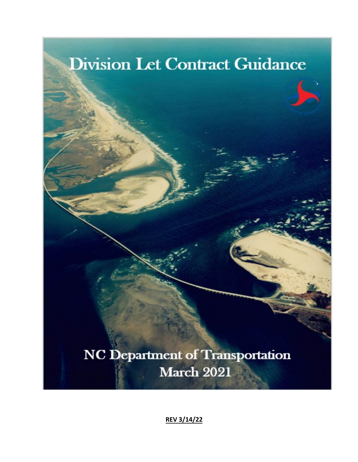

**REV 3/14/22**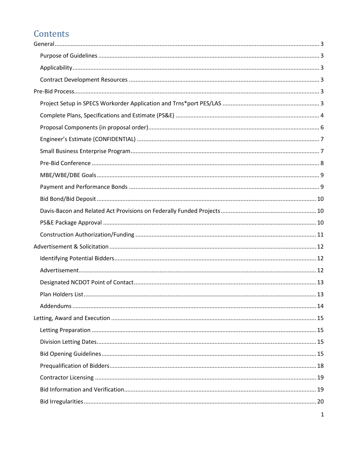# Contents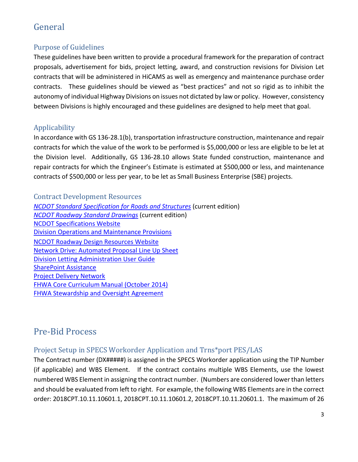# <span id="page-3-0"></span>General

# <span id="page-3-1"></span>Purpose of Guidelines

These guidelines have been written to provide a procedural framework for the preparation of contract proposals, advertisement for bids, project letting, award, and construction revisions for Division Let contracts that will be administered in HiCAMS as well as emergency and maintenance purchase order contracts. These guidelines should be viewed as "best practices" and not so rigid as to inhibit the autonomy of individual Highway Divisions on issues not dictated by law or policy. However, consistency between Divisions is highly encouraged and these guidelines are designed to help meet that goal.

# <span id="page-3-2"></span>Applicability

In accordance with GS 136-28.1(b), transportation infrastructure construction, maintenance and repair contracts for which the value of the work to be performed is \$5,000,000 or less are eligible to be let at the Division level. Additionally, GS 136-28.10 allows State funded construction, maintenance and repair contracts for which the Engineer's Estimate is estimated at \$500,000 or less, and maintenance contracts of \$500,000 or less per year, to be let as Small Business Enterprise (SBE) projects.

<span id="page-3-3"></span>Contract Development Resources *[NCDOT Standard Specification for Roads and Structures](https://connect.ncdot.gov/resources/Specifications/StandSpecLibrary/2018%20Standard%20Specifications%20for%20Roads%20and%20Structures.pdf)* (current edition) *[NCDOT](https://connect.ncdot.gov/resources/Specifications/Pages/default.aspx) Roadway Standard Drawings* (current edition) [NCDOT Specifications Website](https://connect.ncdot.gov/resources/Specifications/Pages/default.aspx) [Division Operations and Maintenance Provisions](https://connect.ncdot.gov/resources/Specifications/Pages/Division.aspx) [NCDOT Roadway Design Resources Website](https://connect.ncdot.gov/projects/Roadway/Pages/Guidelines--Standards.aspx) [Network Drive: Automated Proposal Line Up Sheet](file://Dot/dfsroot01/CCCommon/Provisions/01a%20%20Automated%20Proposal%20Line%20Up%20Sheet) [Division Letting Administration User Guide](https://connect.ncdot.gov/resources/Specifications/DivOpsMaintResources/Division%20Letting%20Administration%20User%20Guide.pdf) [SharePoint Assistance](https://connect.ncdot.gov/help/Pages/default.aspx) [Project Delivery Network](https://connect.ncdot.gov/projects/Project-Management/Pages/default.aspx) [FHWA Core Curriculum Manual](https://www.fhwa.dot.gov/programadmin/contracts/cacc.pdf) (October 2014) [FHWA Stewardship and Oversight Agreement](https://connect.ncdot.gov/projects/Project-Management/Documents/2021-12-15%20NCDOT%20FHWA%20StewardshipandOversight%20Agreement.pdf)

# <span id="page-3-4"></span>Pre-Bid Process

# <span id="page-3-5"></span>Project Setup in SPECS Workorder Application and Trns\*port PES/LAS

The Contract number (DX#####) is assigned in the SPECS Workorder application using the TIP Number (if applicable) and WBS Element. If the contract contains multiple WBS Elements, use the lowest numbered WBS Element in assigning the contract number. (Numbers are considered lower than letters and should be evaluated from left to right. For example, the following WBS Elements are in the correct order: 2018CPT.10.11.10601.1, 2018CPT.10.11.10601.2, 2018CPT.10.11.20601.1. The maximum of 26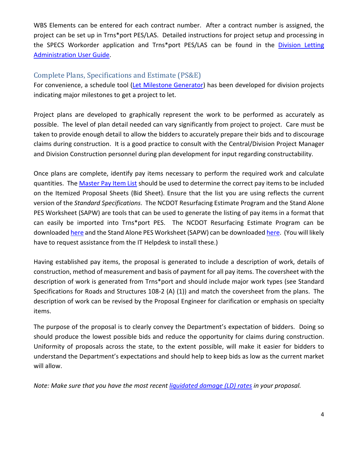WBS Elements can be entered for each contract number. After a contract number is assigned, the project can be set up in Trns\*port PES/LAS. Detailed instructions for project setup and processing in the SPECS Workorder application and Trns\*port PES/LAS can be found in the Division Letting [Administration User Guide.](https://connect.ncdot.gov/resources/Specifications/DivOpsMaintResources/Division%20Letting%20Administration%20User%20Guide.pdf)

### <span id="page-4-0"></span>Complete Plans, Specifications and Estimate (PS&E)

For convenience, a schedule tool [\(Let Milestone Generator\)](https://connect.ncdot.gov/letting/Pages/Let-Milestone-Generator.aspx) has been developed for division projects indicating major milestones to get a project to let.

Project plans are developed to graphically represent the work to be performed as accurately as possible. The level of plan detail needed can vary significantly from project to project. Care must be taken to provide enough detail to allow the bidders to accurately prepare their bids and to discourage claims during construction. It is a good practice to consult with the Central/Division Project Manager and Division Construction personnel during plan development for input regarding constructability.

Once plans are complete, identify pay items necessary to perform the required work and calculate quantities. The [Master Pay Item List](https://connect.ncdot.gov/resources/Specifications/Contracts%20and%20Resources/2019%20Trns%20Port%20Pay%20Item%20List.pdf) should be used to determine the correct pay items to be included on the Itemized Proposal Sheets (Bid Sheet). Ensure that the list you are using reflects the current version of the *Standard Specifications*. The NCDOT Resurfacing Estimate Program and the Stand Alone PES Worksheet (SAPW) are tools that can be used to generate the listing of pay items in a format that can easily be imported into Trns\*port PES. The NCDOT Resurfacing Estimate Program can be downloade[d here](https://inside.ncdot.gov/Business/technology/EAD%20Apps/Forms/AllItems.aspx?RootFolder=%2fBusiness%2ftechnology%2fEAD%20Apps%2fNC%20Resurfacing%20Estimate&FolderCTID=0x012000A1D5E583E8EF8E4CB4E8DA28EEBF8C69) and the Stand Alone PES Worksheet (SAPW) can be downloaded [here.](https://connect.ncdot.gov/projects/Roadway/Lists/PEF%20%20SAPW%20Estimate%20Files/AllItems.aspx) (You will likely have to request assistance from the IT Helpdesk to install these.)

Having established pay items, the proposal is generated to include a description of work, details of construction, method of measurement and basis of payment for all pay items. The coversheet with the description of work is generated from Trns\*port and should include major work types (see Standard Specifications for Roads and Structures 108-2 (A) (1)) and match the coversheet from the plans. The description of work can be revised by the Proposal Engineer for clarification or emphasis on specialty items.

The purpose of the proposal is to clearly convey the Department's expectation of bidders. Doing so should produce the lowest possible bids and reduce the opportunity for claims during construction. Uniformity of proposals across the state, to the extent possible, will make it easier for bidders to understand the Department's expectations and should help to keep bids as low as the current market will allow.

*Note: Make sure that you have the most recen[t liquidated damage \(LD\) rates](https://ncconnect.sharepoint.com/:b:/r/sites/DOHPrelimEng/Shared%20Documents/Division%20Let%20Guidance%20and%20IDIQ%20Guidance/Division%20Let%20Guidance/Division%20Let%20Memos%20and%20Forms/New%20Liquidated%20Damage%20(LD)%20Rates%20(3-11-2021).pdf?csf=1&web=1&e=CPlHVs) in your proposal.*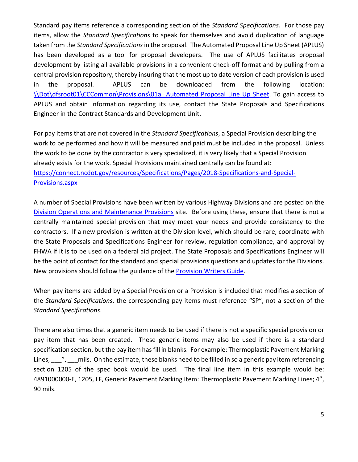Standard pay items reference a corresponding section of the *Standard Specifications.* For those pay items, allow the *Standard Specifications* to speak for themselves and avoid duplication of language taken from the *Standard Specifications*in the proposal. The Automated Proposal Line Up Sheet (APLUS) has been developed as a tool for proposal developers. The use of APLUS facilitates proposal development by listing all available provisions in a convenient check-off format and by pulling from a central provision repository, thereby insuring that the most up to date version of each provision is used in the proposal. APLUS can be downloaded from the following location: [\\Dot\dfsroot01\CCCommon\Provisions\01a Automated Proposal Line Up Sheet.](file://Dot/dfsroot01/CCCommon/Provisions/01a%20%20Automated%20Proposal%20Line%20Up%20Sheet) To gain access to APLUS and obtain information regarding its use, contact the State Proposals and Specifications Engineer in the Contract Standards and Development Unit.

For pay items that are not covered in the *Standard Specifications*, a Special Provision describing the work to be performed and how it will be measured and paid must be included in the proposal. Unless the work to be done by the contractor is very specialized, it is very likely that a Special Provision already exists for the work. Special Provisions maintained centrally can be found at: [https://connect.ncdot.gov/resources/Specifications/Pages/2018-Specifications-and-Special-](https://connect.ncdot.gov/resources/Specifications/Pages/2018-Specifications-and-Special-Provisions.aspx)[Provisions.aspx](https://connect.ncdot.gov/resources/Specifications/Pages/2018-Specifications-and-Special-Provisions.aspx)

A number of Special Provisions have been written by various Highway Divisions and are posted on the [Division Operations and Maintenance Provisions](https://connect.ncdot.gov/resources/Specifications/Pages/Division.aspx) site. Before using these, ensure that there is not a centrally maintained special provision that may meet your needs and provide consistency to the contractors. If a new provision is written at the Division level, which should be rare, coordinate with the State Proposals and Specifications Engineer for review, regulation compliance, and approval by FHWA if it is to be used on a federal aid project. The State Proposals and Specifications Engineer will be the point of contact for the standard and special provisions questions and updates for the Divisions. New provisions should follow the guidance of the [Provision Writers Guide.](https://ncconnect.sharepoint.com/:b:/r/sites/DOHPrelimEng/Shared%20Documents/Division%20Let%20Guidance%20and%20IDIQ%20Guidance/Division%20Let%20Guidance/Division%20Let%20Memos%20and%20Forms/Provision%20Writers%20Guide.pdf?csf=1&web=1&e=NTYaRf)

When pay items are added by a Special Provision or a Provision is included that modifies a section of the *Standard Specifications*, the corresponding pay items must reference "SP", not a section of the *Standard Specifications*.

There are also times that a generic item needs to be used if there is not a specific special provision or pay item that has been created. These generic items may also be used if there is a standard specification section, but the pay item has fill in blanks. For example: Thermoplastic Pavement Marking Lines,  $\frac{m}{r}$ , mils. On the estimate, these blanks need to be filled in so a generic pay item referencing section 1205 of the spec book would be used. The final line item in this example would be: 4891000000-E, 1205, LF, Generic Pavement Marking Item: Thermoplastic Pavement Marking Lines; 4", 90 mils.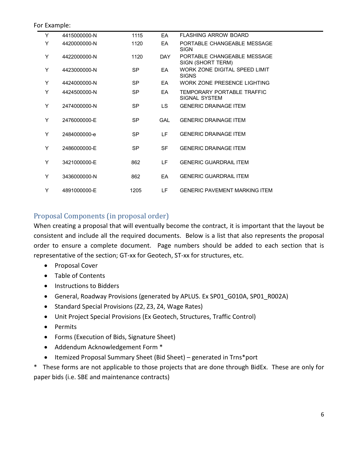#### For Example:

| Y | 4415000000-N | 1115      | FA.        | <b>FLASHING ARROW BOARD</b>                      |  |
|---|--------------|-----------|------------|--------------------------------------------------|--|
| Y | 4420000000-N | 1120      | EA         | PORTABLE CHANGEABLE MESSAGE<br><b>SIGN</b>       |  |
| Y | 4422000000-N | 1120      | DAY.       | PORTABLE CHANGEABLE MESSAGE<br>SIGN (SHORT TERM) |  |
| Y | 4423000000-N | <b>SP</b> | FA         | WORK ZONE DIGITAL SPEED LIMIT<br><b>SIGNS</b>    |  |
| Y | 4424000000-N | <b>SP</b> | EA         | WORK ZONE PRESENCE LIGHTING                      |  |
| Y | 4424500000-N | <b>SP</b> | EA         | TEMPORARY PORTABLE TRAFFIC<br>SIGNAL SYSTEM      |  |
| Y | 2474000000-N | <b>SP</b> | LS.        | <b>GENERIC DRAINAGE ITEM</b>                     |  |
| Y | 2476000000-E | <b>SP</b> | <b>GAL</b> | <b>GENERIC DRAINAGE ITEM</b>                     |  |
| Y | 2484000000-e | <b>SP</b> | I F        | <b>GENERIC DRAINAGE ITEM</b>                     |  |
| Y | 2486000000-E | <b>SP</b> | <b>SF</b>  | <b>GENERIC DRAINAGE ITEM</b>                     |  |
| Y | 3421000000-E | 862       | LF.        | <b>GENERIC GUARDRAIL ITEM</b>                    |  |
| Y | 3436000000-N | 862       | <b>FA</b>  | <b>GENERIC GUARDRAIL ITEM</b>                    |  |
| Y | 4891000000-E | 1205      | LF         | <b>GENERIC PAVEMENT MARKING ITEM</b>             |  |

### <span id="page-6-0"></span>Proposal Components (in proposal order)

When creating a proposal that will eventually become the contract, it is important that the layout be consistent and include all the required documents. Below is a list that also represents the proposal order to ensure a complete document. Page numbers should be added to each section that is representative of the section; GT-xx for Geotech, ST-xx for structures, etc.

- Proposal Cover
- Table of Contents
- Instructions to Bidders
- General, Roadway Provisions (generated by APLUS. Ex SP01 G010A, SP01 R002A)
- Standard Special Provisions (Z2, Z3, Z4, Wage Rates)
- Unit Project Special Provisions (Ex Geotech, Structures, Traffic Control)
- Permits
- Forms (Execution of Bids, Signature Sheet)
- Addendum Acknowledgement Form \*
- Itemized Proposal Summary Sheet (Bid Sheet) generated in Trns\*port

\* These forms are not applicable to those projects that are done through BidEx. These are only for paper bids (i.e. SBE and maintenance contracts)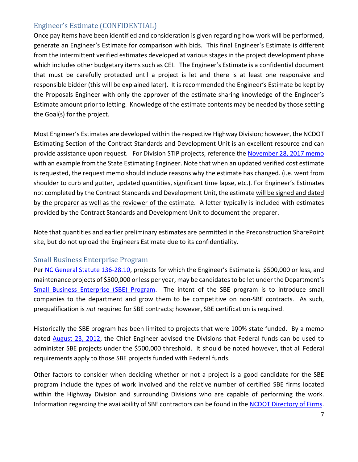# <span id="page-7-0"></span>Engineer's Estimate (CONFIDENTIAL)

Once pay items have been identified and consideration is given regarding how work will be performed, generate an Engineer's Estimate for comparison with bids. This final Engineer's Estimate is different from the intermittent verified estimates developed at various stages in the project development phase which includes other budgetary items such as CEI. The Engineer's Estimate is a confidential document that must be carefully protected until a project is let and there is at least one responsive and responsible bidder (this will be explained later). It is recommended the Engineer's Estimate be kept by the Proposals Engineer with only the approver of the estimate sharing knowledge of the Engineer's Estimate amount prior to letting. Knowledge of the estimate contents may be needed by those setting the Goal(s) for the project.

Most Engineer's Estimates are developed within the respective Highway Division; however, the NCDOT Estimating Section of the Contract Standards and Development Unit is an excellent resource and can provide assistance upon request. For Division STIP projects, reference the [November 28, 2017 memo](https://ncconnect.sharepoint.com/:b:/r/sites/DOHPrelimEng/Shared%20Documents/Division%20Let%20Guidance%20and%20IDIQ%20Guidance/Division%20Let%20Guidance/Division%20Let%20Memos%20and%20Forms/Verified%20Cost%20Estimate%20Handout_Nov%2028%202017.pdf?csf=1&web=1&e=ESdQhm) with an example from the State Estimating Engineer. Note that when an updated verified cost estimate is requested, the request memo should include reasons why the estimate has changed. (i.e. went from shoulder to curb and gutter, updated quantities, significant time lapse, etc.). For Engineer's Estimates not completed by the Contract Standards and Development Unit, the estimate will be signed and dated by the preparer as well as the reviewer of the estimate. A letter typically is included with estimates provided by the Contract Standards and Development Unit to document the preparer.

Note that quantities and earlier preliminary estimates are permitted in the Preconstruction SharePoint site, but do not upload the Engineers Estimate due to its confidentiality.

## <span id="page-7-1"></span>Small Business Enterprise Program

Pe[r NC General Statute 136-28.10,](https://www.ncleg.gov/EnactedLegislation/Statutes/PDF/BySection/Chapter_136/GS_136-28.10.pdf) projects for which the Engineer's Estimate is \$500,000 or less, and maintenance projects of \$500,000 or less per year, may be candidates to be let under the Department's [Small Business Enterprise \(SBE\) Program.](https://connect.ncdot.gov/business/SmallBusiness/Online-Cert-App-Portal/Pages/default.aspx) The intent of the SBE program is to introduce small companies to the department and grow them to be competitive on non-SBE contracts. As such, prequalification is *not* required for SBE contracts; however, SBE certification is required.

Historically the SBE program has been limited to projects that were 100% state funded. By a memo dated [August 23, 2012,](https://ncconnect.sharepoint.com/:b:/r/sites/DOHPrelimEng/Shared%20Documents/Division%20Let%20Guidance%20and%20IDIQ%20Guidance/Division%20Let%20Guidance/Division%20Let%20Memos%20and%20Forms/Federally%20Funded%20-%20SBE(Gibson%20memo_August%202012).pdf?csf=1&web=1&e=VfuXqp) the Chief Engineer advised the Divisions that Federal funds can be used to administer SBE projects under the \$500,000 threshold. It should be noted however, that all Federal requirements apply to those SBE projects funded with Federal funds.

Other factors to consider when deciding whether or not a project is a good candidate for the SBE program include the types of work involved and the relative number of certified SBE firms located within the Highway Division and surrounding Divisions who are capable of performing the work. Information regarding the availability of SBE contractors can be found in the **NCDOT Directory of Firms**.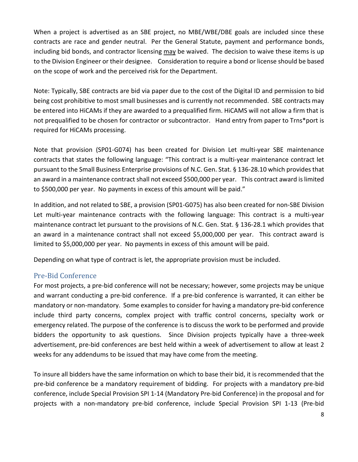When a project is advertised as an SBE project, no MBE/WBE/DBE goals are included since these contracts are race and gender neutral. Per the General Statute, payment and performance bonds, including bid bonds, and contractor licensing may be waived. The decision to waive these items is up to the Division Engineer or their designee. Consideration to require a bond or license should be based on the scope of work and the perceived risk for the Department.

Note: Typically, SBE contracts are bid via paper due to the cost of the Digital ID and permission to bid being cost prohibitive to most small businesses and is currently not recommended. SBE contracts may be entered into HiCAMs if they are awarded to a prequalified firm. HiCAMS will not allow a firm that is not prequalified to be chosen for contractor or subcontractor. Hand entry from paper to Trns\*port is required for HiCAMs processing.

Note that provision (SP01-G074) has been created for Division Let multi-year SBE maintenance contracts that states the following language: "This contract is a multi-year maintenance contract let pursuant to the Small Business Enterprise provisions of N.C. Gen. Stat. § 136-28.10 which provides that an award in a maintenance contract shall not exceed \$500,000 per year. This contract award is limited to \$500,000 per year. No payments in excess of this amount will be paid."

In addition, and not related to SBE, a provision (SP01-G075) has also been created for non-SBE Division Let multi-year maintenance contracts with the following language: This contract is a multi-year maintenance contract let pursuant to the provisions of N.C. Gen. Stat. § 136-28.1 which provides that an award in a maintenance contract shall not exceed \$5,000,000 per year. This contract award is limited to \$5,000,000 per year. No payments in excess of this amount will be paid.

Depending on what type of contract is let, the appropriate provision must be included.

# <span id="page-8-0"></span>Pre-Bid Conference

For most projects, a pre-bid conference will not be necessary; however, some projects may be unique and warrant conducting a pre-bid conference. If a pre-bid conference is warranted, it can either be mandatory or non-mandatory. Some examples to consider for having a mandatory pre-bid conference include third party concerns, complex project with traffic control concerns, specialty work or emergency related. The purpose of the conference is to discuss the work to be performed and provide bidders the opportunity to ask questions. Since Division projects typically have a three-week advertisement, pre-bid conferences are best held within a week of advertisement to allow at least 2 weeks for any addendums to be issued that may have come from the meeting.

To insure all bidders have the same information on which to base their bid, it is recommended that the pre-bid conference be a mandatory requirement of bidding. For projects with a mandatory pre-bid conference, include Special Provision SPI 1-14 (Mandatory Pre-bid Conference) in the proposal and for projects with a non-mandatory pre-bid conference, include Special Provision SPI 1-13 (Pre-bid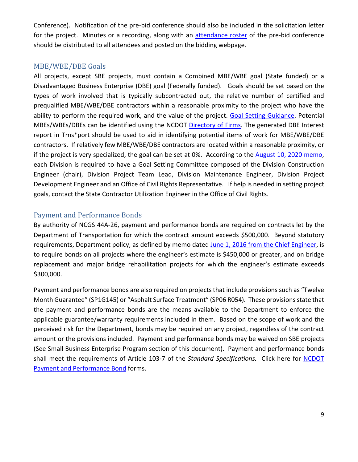Conference). Notification of the pre-bid conference should also be included in the solicitation letter for the project. Minutes or a recording, along with an [attendance roster](https://ncconnect.sharepoint.com/:w:/r/sites/DOHPrelimEng/Shared%20Documents/Division%20Let%20Guidance%20and%20IDIQ%20Guidance/Division%20Let%20Guidance/Division%20Let%20Memos%20and%20Forms/Pre-bid%20MEETING%20SIGN%20IN%20template.doc?d=w9f48ae85912a45f6a8071e22c6063896&csf=1&web=1&e=wRsaAp) of the pre-bid conference should be distributed to all attendees and posted on the bidding webpage.

## <span id="page-9-0"></span>MBE/WBE/DBE Goals

All projects, except SBE projects, must contain a Combined MBE/WBE goal (State funded) or a Disadvantaged Business Enterprise (DBE) goal (Federally funded). Goals should be set based on the types of work involved that is typically subcontracted out, the relative number of certified and prequalified MBE/WBE/DBE contractors within a reasonable proximity to the project who have the ability to perform the required work, and the value of the project. [Goal Setting Guidance.](https://ncconnect.sharepoint.com/:b:/r/sites/DOHPrelimEng/Shared%20Documents/Division%20Let%20Guidance%20and%20IDIQ%20Guidance/Division%20Let%20Guidance/Division%20Let%20Memos%20and%20Forms/Goal%20Setting%20Guidance.pdf?csf=1&web=1&e=KGKfRr) Potential MBEs/WBEs/DBEs can be identified using the NCDOT [Directory of Firms.](https://www.ebs.nc.gov/VendorDirectory/default.html) The generated DBE Interest report in Trns\*port should be used to aid in identifying potential items of work for MBE/WBE/DBE contractors. If relatively few MBE/WBE/DBE contractors are located within a reasonable proximity, or if the project is very specialized, the goal can be set at 0%. According to the [August 10, 2020 memo,](https://ncconnect.sharepoint.com/:b:/r/sites/DOHPrelimEng/Shared%20Documents/Division%20Let%20Guidance%20and%20IDIQ%20Guidance/Division%20Let%20Guidance/Division%20Let%20Memos%20and%20Forms/08-10-2020%20Memo%20to%20DEs_Contract%20Goal%20Compliance%20Committees%20-%20Division%20Lettings.pdf?csf=1&web=1&e=g19eYu) each Division is required to have a Goal Setting Committee composed of the Division Construction Engineer (chair), Division Project Team Lead, Division Maintenance Engineer, Division Project Development Engineer and an Office of Civil Rights Representative. If help is needed in setting project goals, contact the State Contractor Utilization Engineer in the Office of Civil Rights.

# <span id="page-9-1"></span>Payment and Performance Bonds

By authority of NCGS 44A-26, payment and performance bonds are required on contracts let by the Department of Transportation for which the contract amount exceeds \$500,000. Beyond statutory requirements, Department policy, as defined by memo dated June 1, 2016 [from the Chief Engineer,](https://ncconnect.sharepoint.com/:b:/r/sites/DOHPrelimEng/Shared%20Documents/Division%20Let%20Guidance%20and%20IDIQ%20Guidance/Division%20Let%20Guidance/Division%20Let%20Memos%20and%20Forms/Bonding%20Requirements%20for%20Division%20Let%20Projects%206-1-16.pdf?csf=1&web=1&e=FkQ3JS) is to require bonds on all projects where the engineer's estimate is \$450,000 or greater, and on bridge replacement and major bridge rehabilitation projects for which the engineer's estimate exceeds \$300,000.

Payment and performance bonds are also required on projects that include provisions such as "Twelve Month Guarantee" (SP1G145) or "Asphalt Surface Treatment" (SP06 R054). These provisions state that the payment and performance bonds are the means available to the Department to enforce the applicable guarantee/warranty requirements included in them. Based on the scope of work and the perceived risk for the Department, bonds may be required on any project, regardless of the contract amount or the provisions included. Payment and performance bonds may be waived on SBE projects (See Small Business Enterprise Program section of this document). Payment and performance bonds shall meet the requirements of Article 103-7 of the *Standard Specifications.* Click here for [NCDOT](https://connect.ncdot.gov/letting/Pages/Central-Letting-Forms.aspx)  [Payment and Performance Bond](https://connect.ncdot.gov/letting/Pages/Central-Letting-Forms.aspx) forms.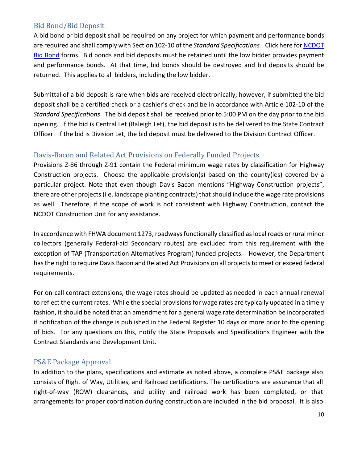## <span id="page-10-0"></span>Bid Bond/Bid Deposit

A bid bond or bid deposit shall be required on any project for which payment and performance bonds are required and shall comply with Section 102-10 of the *Standard Specifications.* Click here fo[r NCDOT](https://connect.ncdot.gov/resources/Specifications/DivOpsMaintResources/BidBond.pdf)  [Bid Bond](https://connect.ncdot.gov/resources/Specifications/DivOpsMaintResources/BidBond.pdf) forms. Bid bonds and bid deposits must be retained until the low bidder provides payment and performance bonds. At that time, bid bonds should be destroyed and bid deposits should be returned. This applies to all bidders, including the low bidder.

Submittal of a bid deposit is rare when bids are received electronically; however, if submitted the bid deposit shall be a certified check or a cashier's check and be in accordance with Article 102-10 of the *Standard Specifications*. The bid deposit shall be received prior to 5:00 PM on the day prior to the bid opening. If the bid is Central Let (Raleigh Let), the bid deposit is to be delivered to the State Contract Officer. If the bid is Division Let, the bid deposit must be delivered to the Division Contract Officer.

## <span id="page-10-1"></span>Davis-Bacon and Related Act Provisions on Federally Funded Projects

Provisions Z-86 through Z-91 contain the Federal minimum wage rates by classification for Highway Construction projects. Choose the applicable provision(s) based on the county(ies) covered by a particular project. Note that even though Davis Bacon mentions "Highway Construction projects", there are other projects (i.e. landscape planting contracts) that should include the wage rate provisions as well. Therefore, if the scope of work is not consistent with Highway Construction, contact the NCDOT Construction Unit for any assistance.

In accordance with FHWA document 1273, roadways functionally classified as local roads or rural minor collectors (generally Federal-aid Secondary routes) are excluded from this requirement with the exception of TAP (Transportation Alternatives Program) funded projects. However, the Department has the right to require Davis Bacon and Related Act Provisions on all projects to meet or exceed federal requirements.

For on-call contract extensions, the wage rates should be updated as needed in each annual renewal to reflect the current rates. While the special provisions for wage rates are typically updated in a timely fashion, it should be noted that an amendment for a general wage rate determination be incorporated if notification of the change is published in the Federal Register 10 days or more prior to the opening of bids. For any questions on this, notify the State Proposals and Specifications Engineer with the Contract Standards and Development Unit.

## <span id="page-10-2"></span>PS&E Package Approval

In addition to the plans, specifications and estimate as noted above, a complete PS&E package also consists of Right of Way, Utilities, and Railroad certifications. The certifications are assurance that all right-of-way (ROW) clearances, and utility and railroad work has been completed, or that arrangements for proper coordination during construction are included in the bid proposal. It is also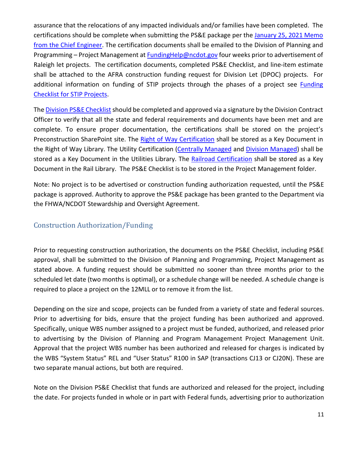assurance that the relocations of any impacted individuals and/or families have been completed. The certifications should be complete when submitting the PS&E package per the January 25, 2021 Memo [from the Chief Engineer.](https://ncconnect.sharepoint.com/:b:/r/sites/DOHPrelimEng/Shared%20Documents/Division%20Let%20Guidance%20and%20IDIQ%20Guidance/Division%20Let%20Guidance/Division%20Let%20Memos%20and%20Forms/1-25-21_Certifications_Required_for_STIP_Projects.pdf?csf=1&web=1&e=xHQk5N) The certification documents shall be emailed to the Division of Planning and Programming – Project Management a[t FundingHelp@ncdot.gov](mailto:FundingHelp@ncdot.gov) four weeks prior to advertisement of Raleigh let projects. The certification documents, completed PS&E Checklist, and line-item estimate shall be attached to the AFRA construction funding request for Division Let (DPOC) projects. For additional information on funding of STIP projects through the phases of a project see Funding [Checklist for STIP Projects.](https://ncconnect.sharepoint.com/:w:/r/sites/DOHPrelimEng/Shared%20Documents/Division%20Let%20Guidance%20and%20IDIQ%20Guidance/Division%20Let%20Guidance/Division%20Let%20Memos%20and%20Forms/Funding%20Checklist%20for%20PE,%20ROW,%20Construction.docx?d=wa2283560bdf140278a8103cd70cf427c&csf=1&web=1&e=wAGCfK)

The [Division PS&E Checklist](https://ncconnect.sharepoint.com/:w:/r/sites/DOHPrelimEng/Shared%20Documents/Division%20Let%20Guidance%20Memos/Division%20PSE%20Checklist.docx?d=w81b9d96f10d24e1d834f376380d1edbd&csf=1&web=1&e=KUkFbY) should be completed and approved via a signature by the Division Contract Officer to verify that all the state and federal requirements and documents have been met and are complete. To ensure proper documentation, the certifications shall be stored on the project's Preconstruction SharePoint site. The [Right of Way Certification](https://ncconnect.sharepoint.com/:w:/r/sites/DOHPrelimEng/Shared%20Documents/Division%20Let%20Guidance%20Memos/ROW%20Field%20Certification%20Form.docx?d=wb5bc519d1a2c4579b9e3cad79a528184&csf=1&web=1&e=DRiyZ6) shall be stored as a Key Document in the Right of Way Library. The Utility Certification [\(Centrally Managed](https://ncconnect.sharepoint.com/:w:/r/sites/DOHPrelimEng/Shared%20Documents/Division%20Let%20Guidance%20Memos/Utility%20Certification-%20Centrally%20Managed%20Projects.doc?d=wd4eecbd30dd745c2a51281318bbc3c64&csf=1&web=1&e=YHWSRN) and [Division Managed\)](https://ncconnect.sharepoint.com/:w:/r/sites/DOHPrelimEng/Shared%20Documents/Division%20Let%20Guidance%20Memos/Utility%20Certification-%20Division%20Managed%20Projects.doc?d=w98d37d03b8bb49afae5773fd3f101f9a&csf=1&web=1&e=cFznA2) shall be stored as a Key Document in the Utilities Library. The [Railroad Certification](https://ncconnect.sharepoint.com/:w:/r/sites/DOHPrelimEng/Shared%20Documents/Division%20Let%20Guidance%20Memos/Railroad%20Certification%20Form.doc?d=w3288b37e1bfd4d86930b2d20918821c4&csf=1&web=1&e=KdF8ee) shall be stored as a Key Document in the Rail Library. The PS&E Checklist is to be stored in the Project Management folder.

Note: No project is to be advertised or construction funding authorization requested, until the PS&E package is approved. Authority to approve the PS&E package has been granted to the Department via the FHWA/NCDOT Stewardship and Oversight Agreement.

# <span id="page-11-0"></span>Construction Authorization/Funding

Prior to requesting construction authorization, the documents on the PS&E Checklist, including PS&E approval, shall be submitted to the Division of Planning and Programming, Project Management as stated above. A funding request should be submitted no sooner than three months prior to the scheduled let date (two months is optimal), or a schedule change will be needed. A schedule change is required to place a project on the 12MLL or to remove it from the list.

Depending on the size and scope, projects can be funded from a variety of state and federal sources. Prior to advertising for bids, ensure that the project funding has been authorized and approved. Specifically, unique WBS number assigned to a project must be funded, authorized, and released prior to advertising by the Division of Planning and Program Management Project Management Unit. Approval that the project WBS number has been authorized and released for charges is indicated by the WBS "System Status" REL and "User Status" R100 in SAP (transactions CJ13 or CJ20N). These are two separate manual actions, but both are required.

Note on the Division PS&E Checklist that funds are authorized and released for the project, including the date. For projects funded in whole or in part with Federal funds, advertising prior to authorization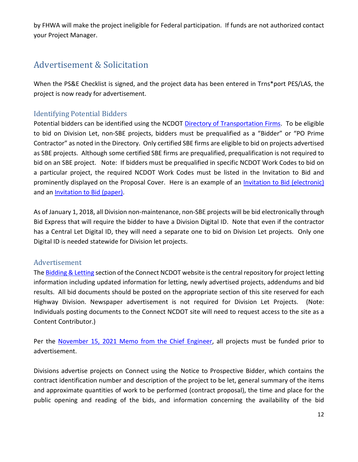by FHWA will make the project ineligible for Federal participation. If funds are not authorized contact your Project Manager.

# <span id="page-12-0"></span>Advertisement & Solicitation

When the PS&E Checklist is signed, and the project data has been entered in Trns\*port PES/LAS, the project is now ready for advertisement.

# <span id="page-12-1"></span>Identifying Potential Bidders

Potential bidders can be identified using the NCDOT [Directory of Transportation Firms.](https://www.ebs.nc.gov/VendorDirectory/default.html) To be eligible to bid on Division Let, non-SBE projects, bidders must be prequalified as a "Bidder" or "PO Prime Contractor" as noted in the Directory. Only certified SBE firms are eligible to bid on projects advertised as SBE projects. Although some certified SBE firms are prequalified, prequalification is not required to bid on an SBE project. Note: If bidders must be prequalified in specific NCDOT Work Codes to bid on a particular project, the required NCDOT Work Codes must be listed in the Invitation to Bid and prominently displayed on the Proposal Cover. Here is an example of an [Invitation to Bid \(electronic\)](https://ncconnect.sharepoint.com/:b:/r/sites/DOHPrelimEng/Shared%20Documents/Division%20Let%20Guidance%20and%20IDIQ%20Guidance/Division%20Let%20Guidance/Division%20Let%20Memos%20and%20Forms/Invitation%20to%20Bid%20(Electronic).pdf?csf=1&web=1&e=s0qHNr) and an [Invitation to Bid \(paper\).](https://ncconnect.sharepoint.com/:b:/r/sites/DOHPrelimEng/Shared%20Documents/Division%20Let%20Guidance%20and%20IDIQ%20Guidance/Division%20Let%20Guidance/Division%20Let%20Memos%20and%20Forms/Invitation%20to%20Bid%20(Paper).pdf?csf=1&web=1&e=Q5Okd3)

As of January 1, 2018, all Division non-maintenance, non-SBE projects will be bid electronically through Bid Express that will require the bidder to have a Division Digital ID. Note that even if the contractor has a Central Let Digital ID, they will need a separate one to bid on Division Let projects. Only one Digital ID is needed statewide for Division let projects.

## <span id="page-12-2"></span>Advertisement

The **Bidding & Letting** section of the Connect NCDOT website is the central repository for project letting information including updated information for letting, newly advertised projects, addendums and bid results. All bid documents should be posted on the appropriate section of this site reserved for each Highway Division. Newspaper advertisement is not required for Division Let Projects. (Note: Individuals posting documents to the Connect NCDOT site will need to request access to the site as a Content Contributor.)

Per the [November 15, 2021 Memo from the Chief Engineer,](https://ncconnect.sharepoint.com/:b:/r/sites/DOHPrelimEng/Shared%20Documents/Executive%20Memos/11-15-2021%20Memo%20to%20DEs%20WBS%20Funding%20Released%20Prior%20to%20Project%20Advertisement%20(002).pdf?csf=1&web=1&e=HcofWB) all projects must be funded prior to advertisement.

Divisions advertise projects on Connect using the Notice to Prospective Bidder, which contains the contract identification number and description of the project to be let, general summary of the items and approximate quantities of work to be performed (contract proposal), the time and place for the public opening and reading of the bids, and information concerning the availability of the bid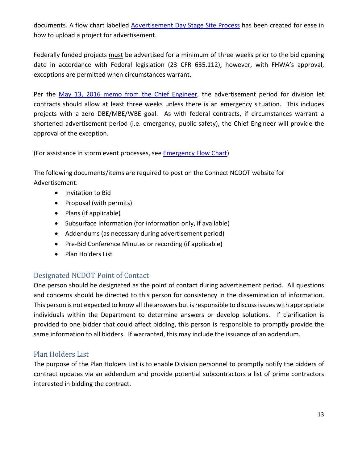documents. A flow chart labelled [Advertisement Day Stage Site Process](https://ncconnect.sharepoint.com/:b:/r/sites/DOHPrelimEng/Shared%20Documents/Division%20Let%20Guidance%20and%20IDIQ%20Guidance/Division%20Let%20Guidance/Division%20Let%20Memos%20and%20Forms/ADVERTMENT%20DAY%20STAGE%20SITE%20PROCESS.pdf?csf=1&web=1&e=LurRKt) has been created for ease in how to upload a project for advertisement.

Federally funded projects must be advertised for a minimum of three weeks prior to the bid opening date in accordance with Federal legislation (23 CFR 635.112); however, with FHWA's approval, exceptions are permitted when circumstances warrant.

Per the [May 13, 2016 memo from the Chief Engineer,](https://ncconnect.sharepoint.com/:b:/r/sites/DOHPrelimEng/Shared%20Documents/Division%20Let%20Guidance%20and%20IDIQ%20Guidance/Division%20Let%20Guidance/Division%20Let%20Memos%20and%20Forms/Electronic%20Bidding%20-%20Division%20Let%20Projects%20Policy%20Memo%205-13-16.pdf?csf=1&web=1&e=eyIVLD) the advertisement period for division let contracts should allow at least three weeks unless there is an emergency situation. This includes projects with a zero DBE/MBE/WBE goal. As with federal contracts, if circumstances warrant a shortened advertisement period (i.e. emergency, public safety), the Chief Engineer will provide the approval of the exception.

(For assistance in storm event processes, see [Emergency Flow Chart\)](https://ncconnect.sharepoint.com/:b:/r/sites/DOHPrelimEng/Shared%20Documents/Division%20Let%20Guidance%20and%20IDIQ%20Guidance/Division%20Let%20Guidance/Division%20Let%20Memos%20and%20Forms/Emergency%20Flow%20Chart.pdf?csf=1&web=1&e=ugExgi)

The following documents/items are required to post on the Connect NCDOT website for Advertisement:

- Invitation to Bid
- Proposal (with permits)
- Plans (if applicable)
- Subsurface Information (for information only, if available)
- Addendums (as necessary during advertisement period)
- Pre-Bid Conference Minutes or recording (if applicable)
- Plan Holders List

# <span id="page-13-0"></span>Designated NCDOT Point of Contact

One person should be designated as the point of contact during advertisement period. All questions and concerns should be directed to this person for consistency in the dissemination of information. This person is not expected to know all the answers but is responsible to discuss issues with appropriate individuals within the Department to determine answers or develop solutions. If clarification is provided to one bidder that could affect bidding, this person is responsible to promptly provide the same information to all bidders. If warranted, this may include the issuance of an addendum.

# <span id="page-13-1"></span>Plan Holders List

The purpose of the Plan Holders List is to enable Division personnel to promptly notify the bidders of contract updates via an addendum and provide potential subcontractors a list of prime contractors interested in bidding the contract.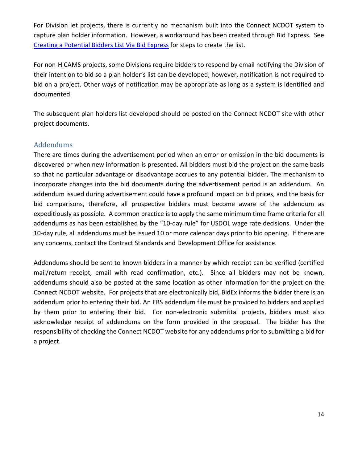For Division let projects, there is currently no mechanism built into the Connect NCDOT system to capture plan holder information. However, a workaround has been created through Bid Express. See [Creating a Potential Bidders List Via Bid Express](https://ncconnect.sharepoint.com/:b:/r/sites/DOHPrelimEng/Shared%20Documents/Division%20Let%20Guidance%20and%20IDIQ%20Guidance/Division%20Let%20Guidance/Division%20Let%20Memos%20and%20Forms/CREATING%20A%20POTENTIAL%20BIDDERS%20LIST%20VIA%20BID%20EXPRESS.pdf?csf=1&web=1&e=EdaRGI) for steps to create the list.

For non-HiCAMS projects, some Divisions require bidders to respond by email notifying the Division of their intention to bid so a plan holder's list can be developed; however, notification is not required to bid on a project. Other ways of notification may be appropriate as long as a system is identified and documented.

The subsequent plan holders list developed should be posted on the Connect NCDOT site with other project documents.

## <span id="page-14-0"></span>Addendums

There are times during the advertisement period when an error or omission in the bid documents is discovered or when new information is presented. All bidders must bid the project on the same basis so that no particular advantage or disadvantage accrues to any potential bidder. The mechanism to incorporate changes into the bid documents during the advertisement period is an addendum. An addendum issued during advertisement could have a profound impact on bid prices, and the basis for bid comparisons, therefore, all prospective bidders must become aware of the addendum as expeditiously as possible. A common practice is to apply the same minimum time frame criteria for all addendums as has been established by the "10-day rule" for USDOL wage rate decisions. Under the 10-day rule, all addendums must be issued 10 or more calendar days prior to bid opening. If there are any concerns, contact the Contract Standards and Development Office for assistance.

Addendums should be sent to known bidders in a manner by which receipt can be verified (certified mail/return receipt, email with read confirmation, etc.). Since all bidders may not be known, addendums should also be posted at the same location as other information for the project on the Connect NCDOT website. For projects that are electronically bid, BidEx informs the bidder there is an addendum prior to entering their bid. An EBS addendum file must be provided to bidders and applied by them prior to entering their bid. For non-electronic submittal projects, bidders must also acknowledge receipt of addendums on the form provided in the proposal. The bidder has the responsibility of checking the Connect NCDOT website for any addendums prior to submitting a bid for a project.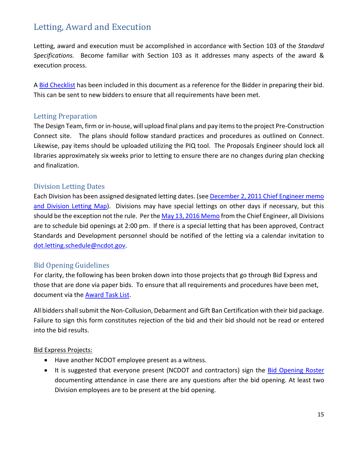# <span id="page-15-0"></span>Letting, Award and Execution

Letting, award and execution must be accomplished in accordance with Section 103 of the *Standard Specifications.* Become familiar with Section 103 as it addresses many aspects of the award & execution process.

A [Bid Checklist](https://ncconnect.sharepoint.com/:b:/r/sites/DOHPrelimEng/Shared%20Documents/Division%20Let%20Guidance%20and%20IDIQ%20Guidance/Division%20Let%20Guidance/Division%20Let%20Memos%20and%20Forms/!!Bid%20Checklist.pdf?csf=1&web=1&e=2aNRMJ) has been included in this document as a reference for the Bidder in preparing their bid. This can be sent to new bidders to ensure that all requirements have been met.

## <span id="page-15-1"></span>Letting Preparation

The Design Team, firm or in-house, will upload final plans and pay itemsto the project Pre-Construction Connect site. The plans should follow [standard practices and procedures](https://connect.ncdot.gov/site/preconstruction/Pages/Preconstruction-Help.aspx) as outlined on Connect. Likewise, pay items should be uploaded utilizing the [PIQ tool.](https://connect.ncdot.gov/site/preconstruction/Lists/Precon%20Announcements/DispForm.aspx?ID=112&Source=https%3A%2F%2Fconnect%2Encdot%2Egov%2Fsite%2Fpreconstruction%2FPages%2FDefault%2Easpx&ContentTypeId=0x010400D9A3C86BF3600C48811F23F02B43D8F3) The Proposals Engineer should lock all libraries approximately six weeks prior to letting to ensure there are no changes during plan checking and finalization.

## <span id="page-15-2"></span>Division Letting Dates

Each Division has been assigned designated letting dates. (see [December 2, 2011 Chief Engineer memo](https://ncconnect.sharepoint.com/:b:/r/sites/DOHPrelimEng/Shared%20Documents/Division%20Let%20Guidance%20and%20IDIQ%20Guidance/Division%20Let%20Guidance/Division%20Let%20Memos%20and%20Forms/Division%20Let%20Dates_Gibson_2-02-11.pdf?csf=1&web=1&e=fh1pYk)  [and Division Letting Map\)](https://ncconnect.sharepoint.com/:b:/r/sites/DOHPrelimEng/Shared%20Documents/Division%20Let%20Guidance%20and%20IDIQ%20Guidance/Division%20Let%20Guidance/Division%20Let%20Memos%20and%20Forms/Division%20Let%20Dates_Gibson_2-02-11.pdf?csf=1&web=1&e=fh1pYk). Divisions may have special lettings on other days if necessary, but this should be the exception not the rule. Per th[e May 13, 2016 Memo](https://ncconnect.sharepoint.com/:b:/r/sites/DOHPrelimEng/Shared%20Documents/Division%20Let%20Guidance%20and%20IDIQ%20Guidance/Division%20Let%20Guidance/Division%20Let%20Memos%20and%20Forms/Electronic%20Bidding%20-%20Division%20Let%20Projects%20Policy%20Memo%205-13-16.pdf?csf=1&web=1&e=ADQbXS) from the Chief Engineer, all Divisions are to schedule bid openings at 2:00 pm. If there is a special letting that has been approved, Contract Standards and Development personnel should be notified of the letting via a calendar invitation to [dot.letting.schedule@ncdot.gov.](mailto:dot.letting.schedule@ncdot.gov)

## <span id="page-15-3"></span>Bid Opening Guidelines

For clarity, the following has been broken down into those projects that go through Bid Express and those that are done via paper bids. To ensure that all requirements and procedures have been met, document via the [Award Task List.](https://ncconnect.sharepoint.com/:x:/r/sites/DOHPrelimEng/Shared%20Documents/Division%20Let%20Guidance%20and%20IDIQ%20Guidance/Division%20Let%20Guidance/Division%20Let%20Memos%20and%20Forms/Award%20Task%20List.xlsx?d=w0d6780c93bb64280be3cc88d968435b7&csf=1&web=1&e=4SZgNi)

All bidders shall submit the Non-Collusion, Debarment and Gift Ban Certification with their bid package. Failure to sign this form constitutes rejection of the bid and their bid should not be read or entered into the bid results.

### Bid Express Projects:

- Have another NCDOT employee present as a witness.
- It is suggested that everyone present (NCDOT and contractors) sign the [Bid Opening Roster](https://ncconnect.sharepoint.com/:w:/r/sites/DOHPrelimEng/Shared%20Documents/Division%20Let%20Guidance%20and%20IDIQ%20Guidance/Division%20Let%20Guidance/Division%20Let%20Memos%20and%20Forms/Bid%20Opening%20Roster.doc?d=w99534ebdd09d4c8a9b8ea9c5161a8b0f&csf=1&web=1&e=dE8HWn) documenting attendance in case there are any questions after the bid opening. At least two Division employees are to be present at the bid opening.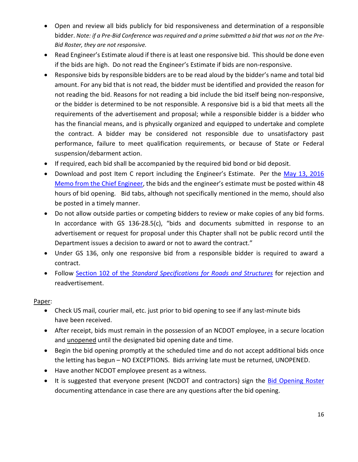- Open and review all bids publicly for bid responsiveness and determination of a responsible bidder. *Note: if a Pre-Bid Conference was required and a prime submitted a bid that was not on the Pre-Bid Roster, they are not responsive.*
- Read Engineer's Estimate aloud if there is at least one responsive bid. This should be done even if the bids are high. Do not read the Engineer's Estimate if bids are non-responsive.
- Responsive bids by responsible bidders are to be read aloud by the bidder's name and total bid amount. For any bid that is not read, the bidder must be identified and provided the reason for not reading the bid. Reasons for not reading a bid include the bid itself being non-responsive, or the bidder is determined to be not responsible. A responsive bid is a bid that meets all the requirements of the advertisement and proposal; while a responsible bidder is a bidder who has the financial means, and is physically organized and equipped to undertake and complete the contract. A bidder may be considered not responsible due to unsatisfactory past performance, failure to meet qualification requirements, or because of State or Federal suspension/debarment action.
- If required, each bid shall be accompanied by the required bid bond or bid deposit.
- Download and post Item C report including the Engineer's Estimate. Per the [May 13, 2016](https://ncconnect.sharepoint.com/:b:/r/sites/DOHPrelimEng/Shared%20Documents/Division%20Let%20Guidance%20and%20IDIQ%20Guidance/Division%20Let%20Guidance/Division%20Let%20Memos%20and%20Forms/Electronic%20Bidding%20-%20Division%20Let%20Projects%20Policy%20Memo%205-13-16.pdf?csf=1&web=1&e=pbFtZT)  [Memo from the Chief Engineer,](https://ncconnect.sharepoint.com/:b:/r/sites/DOHPrelimEng/Shared%20Documents/Division%20Let%20Guidance%20and%20IDIQ%20Guidance/Division%20Let%20Guidance/Division%20Let%20Memos%20and%20Forms/Electronic%20Bidding%20-%20Division%20Let%20Projects%20Policy%20Memo%205-13-16.pdf?csf=1&web=1&e=pbFtZT) the bids and the engineer's estimate must be posted within 48 hours of bid opening. Bid tabs, although not specifically mentioned in the memo, should also be posted in a timely manner.
- Do not allow outside parties or competing bidders to review or make copies of any bid forms. In accordance with GS 136-28.5(c), "bids and documents submitted in response to an advertisement or request for proposal under this Chapter shall not be public record until the Department issues a decision to award or not to award the contract."
- Under GS 136, only one responsive bid from a responsible bidder is required to award a contract.
- Follow Section 102 of the *[Standard Specifications for Roads and Structures](https://connect.ncdot.gov/resources/Specifications/StandSpecLibrary/2018%20Standard%20Specifications%20for%20Roads%20and%20Structures.pdf)* for rejection and readvertisement.

### Paper:

- Check US mail, courier mail, etc. just prior to bid opening to see if any last-minute bids have been received.
- After receipt, bids must remain in the possession of an NCDOT employee, in a secure location and unopened until the designated bid opening date and time.
- Begin the bid opening promptly at the scheduled time and do not accept additional bids once the letting has begun – NO EXCEPTIONS. Bids arriving late must be returned, UNOPENED.
- Have another NCDOT employee present as a witness.
- It is suggested that everyone present (NCDOT and contractors) sign the [Bid Opening Roster](https://ncconnect.sharepoint.com/:w:/r/sites/DOHPrelimEng/Shared%20Documents/Division%20Let%20Guidance%20and%20IDIQ%20Guidance/Division%20Let%20Guidance/Division%20Let%20Memos%20and%20Forms/Bid%20Opening%20Roster.doc?d=w99534ebdd09d4c8a9b8ea9c5161a8b0f&csf=1&web=1&e=UQ1C5i) documenting attendance in case there are any questions after the bid opening.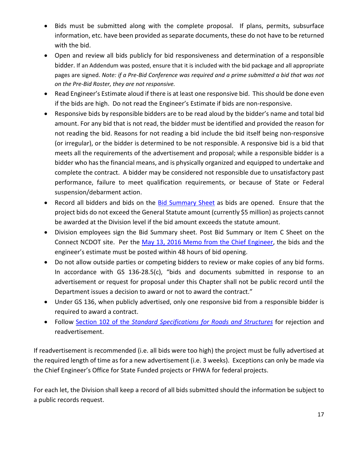- Bids must be submitted along with the complete proposal. If plans, permits, subsurface information, etc. have been provided as separate documents, these do not have to be returned with the bid.
- Open and review all bids publicly for bid responsiveness and determination of a responsible bidder. If an Addendum was posted, ensure that it is included with the bid package and all appropriate pages are signed. *Note: if a Pre-Bid Conference was required and a prime submitted a bid that was not on the Pre-Bid Roster, they are not responsive.*
- Read Engineer's Estimate aloud if there is at least one responsive bid. This should be done even if the bids are high. Do not read the Engineer's Estimate if bids are non-responsive.
- Responsive bids by responsible bidders are to be read aloud by the bidder's name and total bid amount. For any bid that is not read, the bidder must be identified and provided the reason for not reading the bid. Reasons for not reading a bid include the bid itself being non-responsive (or irregular), or the bidder is determined to be not responsible. A responsive bid is a bid that meets all the requirements of the advertisement and proposal; while a responsible bidder is a bidder who has the financial means, and is physically organized and equipped to undertake and complete the contract. A bidder may be considered not responsible due to unsatisfactory past performance, failure to meet qualification requirements, or because of State or Federal suspension/debarment action.
- Record all bidders and bids on the [Bid Summary Sheet](https://ncconnect.sharepoint.com/:w:/r/sites/DOHPrelimEng/Shared%20Documents/Division%20Let%20Guidance%20and%20IDIQ%20Guidance/Division%20Let%20Guidance/Division%20Let%20Memos%20and%20Forms/Bid%20Summary%20Sheet.docx?d=wfa2bf6a042084e42a5c42005af54ed5a&csf=1&web=1&e=edUTXk) as bids are opened. Ensure that the project bids do not exceed the General Statute amount (currently \$5 million) as projects cannot be awarded at the Division level if the bid amount exceeds the statute amount.
- Division employees sign the Bid Summary sheet. Post Bid Summary or Item C Sheet on the Connect NCDOT site. Per the [May 13, 2016 Memo from the Chief Engineer,](https://ncconnect.sharepoint.com/:b:/r/sites/DOHPrelimEng/Shared%20Documents/Division%20Let%20Guidance%20and%20IDIQ%20Guidance/Division%20Let%20Guidance/Division%20Let%20Memos%20and%20Forms/Electronic%20Bidding%20-%20Division%20Let%20Projects%20Policy%20Memo%205-13-16.pdf?csf=1&web=1&e=Axn9V7) the bids and the engineer's estimate must be posted within 48 hours of bid opening.
- Do not allow outside parties or competing bidders to review or make copies of any bid forms. In accordance with GS 136-28.5(c), "bids and documents submitted in response to an advertisement or request for proposal under this Chapter shall not be public record until the Department issues a decision to award or not to award the contract."
- Under GS 136, when publicly advertised, only one responsive bid from a responsible bidder is required to award a contract.
- Follow Section 102 of the *[Standard Specifications for Roads and Structures](https://connect.ncdot.gov/resources/Specifications/StandSpecLibrary/2018%20Standard%20Specifications%20for%20Roads%20and%20Structures.pdf)* for rejection and readvertisement.

If readvertisement is recommended (i.e. all bids were too high) the project must be fully advertised at the required length of time as for a new advertisement (i.e. 3 weeks). Exceptions can only be made via the Chief Engineer's Office for State Funded projects or FHWA for federal projects.

For each let, the Division shall keep a record of all bids submitted should the information be subject to a public records request.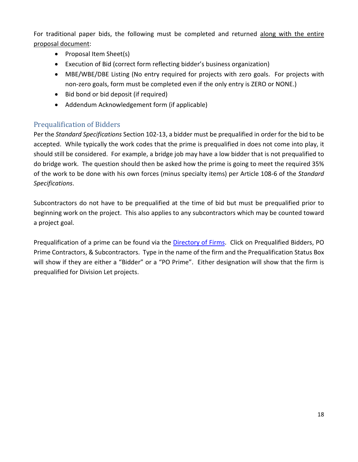For traditional paper bids, the following must be completed and returned along with the entire proposal document:

- Proposal Item Sheet(s)
- Execution of Bid (correct form reflecting bidder's business organization)
- MBE/WBE/DBE Listing (No entry required for projects with zero goals. For projects with non-zero goals, form must be completed even if the only entry is ZERO or NONE.)
- Bid bond or bid deposit (if required)
- Addendum Acknowledgement form (if applicable)

# <span id="page-18-0"></span>Prequalification of Bidders

Per the *Standard Specifications* Section 102-13, a bidder must be prequalified in order for the bid to be accepted. While typically the work codes that the prime is prequalified in does not come into play, it should still be considered. For example, a bridge job may have a low bidder that is not prequalified to do bridge work. The question should then be asked how the prime is going to meet the required 35% of the work to be done with his own forces (minus specialty items) per Article 108-6 of the *Standard Specifications*.

Subcontractors do not have to be prequalified at the time of bid but must be prequalified prior to beginning work on the project. This also applies to any subcontractors which may be counted toward a project goal.

Prequalification of a prime can be found via the [Directory](https://www.ebs.nc.gov/VendorDirectory/default.html) of Firms. Click on Prequalified Bidders, PO Prime Contractors, & Subcontractors. Type in the name of the firm and the Prequalification Status Box will show if they are either a "Bidder" or a "PO Prime". Either designation will show that the firm is prequalified for Division Let projects.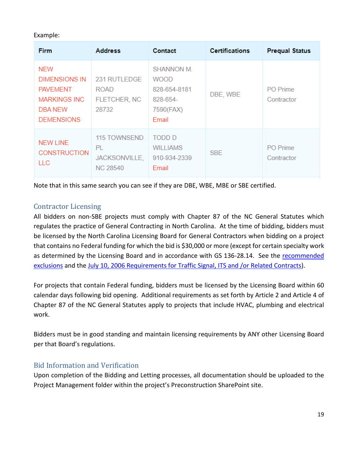### Example:

| <b>Firm</b>                                                                                                  | <b>Address</b>                                         | Contact                                                                            | <b>Certifications</b> | <b>Prequal Status</b>         |
|--------------------------------------------------------------------------------------------------------------|--------------------------------------------------------|------------------------------------------------------------------------------------|-----------------------|-------------------------------|
| <b>NEW</b><br><b>DIMENSIONS IN</b><br><b>PAVEMENT</b><br><b>MARKINGS INC</b><br>DBA NEW<br><b>DEMENSIONS</b> | 231 RUTLEDGE<br><b>ROAD</b><br>FLETCHER, NC<br>28732   | <b>SHANNON M.</b><br><b>WOOD</b><br>828-654-8181<br>828-654-<br>7590(FAX)<br>Email | DBE, WBE              | <b>PO</b> Prime<br>Contractor |
| <b>NEW LINE</b><br><b>CONSTRUCTION</b><br>LLC.                                                               | 115 TOWNSEND<br>PL<br>JACKSONVILLE,<br><b>NC 28540</b> | <b>TODD D</b><br><b>WILLIAMS</b><br>910-934-2339<br>Email                          | <b>SBE</b>            | <b>PO</b> Prime<br>Contractor |

Note that in this same search you can see if they are DBE, WBE, MBE or SBE certified.

## <span id="page-19-0"></span>Contractor Licensing

All bidders on non-SBE projects must comply with Chapter 87 of the NC General Statutes which regulates the practice of General Contracting in North Carolina. At the time of bidding, bidders must be licensed by the North Carolina Licensing Board for General Contractors when bidding on a project that contains no Federal funding for which the bid is \$30,000 or more (except for certain specialty work as determined by the Licensing Board and in accordance with GS 136-28.14. See the recommended [exclusions](https://ncconnect.sharepoint.com/:b:/r/sites/DOHPrelimEng/Shared%20Documents/Division%20Let%20Guidance%20and%20IDIQ%20Guidance/Division%20Let%20Guidance/Division%20Let%20Memos%20and%20Forms/Exclusions%20for%20GC%20Licensing%20List.pdf?csf=1&web=1&e=kfJFEd) and the [July 10, 2006 Requirements for Traffic Signal, ITS and /or Related Contracts\)](https://ncconnect.sharepoint.com/:b:/r/sites/DOHPrelimEng/Shared%20Documents/Division%20Let%20Guidance%20and%20IDIQ%20Guidance/Division%20Let%20Guidance/Division%20Let%20Memos%20and%20Forms/Contractor%20Licensing%20-%20Signal,%20ITS,%20etc.pdf?csf=1&web=1&e=4cFbmr).

For projects that contain Federal funding, bidders must be licensed by the Licensing Board within 60 calendar days following bid opening. Additional requirements as set forth by Article 2 and Article 4 of Chapter 87 of the NC General Statutes apply to projects that include HVAC, plumbing and electrical work.

Bidders must be in good standing and maintain licensing requirements by ANY other Licensing Board per that Board's regulations.

## <span id="page-19-1"></span>Bid Information and Verification

Upon completion of the Bidding and Letting processes, all documentation should be uploaded to the Project Management folder within the project's Preconstruction SharePoint site.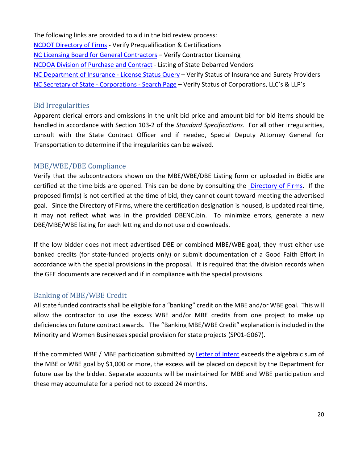The following links are provided to aid in the bid review process: [NCDOT Directory of Firms](https://www.ebs.nc.gov/VendorDirectory/default.html) - Verify Prequalification & Certifications [NC Licensing Board for General Contractors](https://www.nclbgc.org/) – Verify Contractor Licensing [NCDOA Division o](http://www.doa.state.nc.us/PandC/actions.aspx)f Purchase and Contract - Listing of State Debarred Vendors [NC Department of Insurance -](https://www.ncdoi.gov/) License Status Query – Verify Status of Insurance and Surety Providers [NC Secretary of State -](https://www.sosnc.gov/online_services/search/by_title/_Business_Registration) Corporations - Search Page – Verify Status of Corporations, LLC's & LLP's

#### <span id="page-20-0"></span>Bid Irregularities

Apparent clerical errors and omissions in the unit bid price and amount bid for bid items should be handled in accordance with Section 103-2 of the *Standard Specifications*. For all other irregularities, consult with the State Contract Officer and if needed, Special Deputy Attorney General for Transportation to determine if the irregularities can be waived.

### <span id="page-20-1"></span>MBE/WBE/DBE Compliance

Verify that the subcontractors shown on the MBE/WBE/DBE Listing form or uploaded in BidEx are certified at the time bids are opened. This can be done by consulting the [Directory of Firms.](https://www.ebs.nc.gov/VendorDirectory/default.html) If the proposed firm(s) is not certified at the time of bid, they cannot count toward meeting the advertised goal. Since the Directory of Firms, where the certification designation is housed, is updated real time, it may not reflect what was in the provided DBENC.bin. To minimize errors, generate a new DBE/MBE/WBE listing for each letting and do not use old downloads.

If the low bidder does not meet advertised DBE or combined MBE/WBE goal, they must either use banked credits (for state-funded projects only) or submit documentation of a Good Faith Effort in accordance with the special provisions in the proposal. It is required that the division records when the GFE documents are received and if in compliance with the special provisions.

### <span id="page-20-2"></span>Banking of MBE/WBE Credit

All state funded contracts shall be eligible for a "banking" credit on the MBE and/or WBE goal. This will allow the contractor to use the excess WBE and/or MBE credits from one project to make up deficiencies on future contract awards. The "Banking MBE/WBE Credit" explanation is included in the Minority and Women Businesses special provision for state projects (SP01-G067).

If the committed WBE / MBE participation submitted by [Letter of Intent](https://ncconnect.sharepoint.com/:w:/r/sites/DOHPrelimEng/Shared%20Documents/Division%20Let%20Guidance%20and%20IDIQ%20Guidance/Division%20Let%20Guidance/Division%20Let%20Memos%20and%20Forms/Letter%20of%20Intent%20to%20Perform%20as%20Subcontractor.doc?d=w805be01c15e745f7994bc27bd19c2c0e&csf=1&web=1&e=QSdtWM) exceeds the algebraic sum of the MBE or WBE goal by \$1,000 or more, the excess will be placed on deposit by the Department for future use by the bidder. Separate accounts will be maintained for MBE and WBE participation and these may accumulate for a period not to exceed 24 months.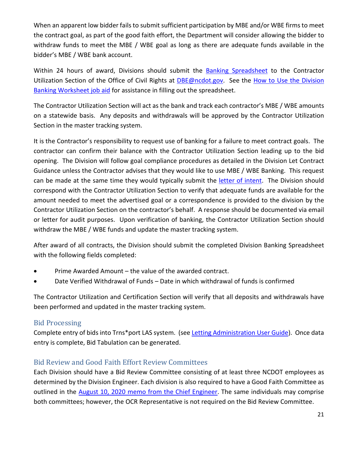When an apparent low bidder fails to submit sufficient participation by MBE and/or WBE firms to meet the contract goal, as part of the good faith effort, the Department will consider allowing the bidder to withdraw funds to meet the MBE / WBE goal as long as there are adequate funds available in the bidder's MBE / WBE bank account.

Within 24 hours of award, Divisions should submit the [Banking Spreadsheet](https://ncconnect.sharepoint.com/:x:/r/sites/DOHPrelimEng/Shared%20Documents/Division%20Let%20Guidance%20and%20IDIQ%20Guidance/Division%20Let%20Guidance/Division%20Let%20Memos%20and%20Forms/Banking%20Program%20Reporting%20Workbook%202021.xlsx?d=wbfef79fd28e0466697b9ee4ee94db453&csf=1&web=1&e=SIXSyl) to the Contractor Utilization Section of the Office of Civil Rights at [DBE@ncdot.gov.](mailto:DBE@ncdot.gov) See the How to Use the Division [Banking Worksheet job aid](https://ncconnect.sharepoint.com/:w:/r/sites/DOHPrelimEng/Shared%20Documents/Division%20Let%20Guidance%20and%20IDIQ%20Guidance/Division%20Let%20Guidance/Division%20Let%20Memos%20and%20Forms/Job%20Aid_how%20to%20use%20the%20banking%20spreadsheet.docx?d=w4ceb44b10d4748f78c712400862780a5&csf=1&web=1&e=cMpqyN) for assistance in filling out the spreadsheet.

The Contractor Utilization Section will act as the bank and track each contractor's MBE / WBE amounts on a statewide basis. Any deposits and withdrawals will be approved by the Contractor Utilization Section in the master tracking system.

It is the Contractor's responsibility to request use of banking for a failure to meet contract goals. The contractor can confirm their balance with the Contractor Utilization Section leading up to the bid opening. The Division will follow goal compliance procedures as detailed in the Division Let Contract Guidance unless the Contractor advises that they would like to use MBE / WBE Banking. This request can be made at the same time they would typically submit the [letter of intent.](https://ncconnect.sharepoint.com/:w:/r/sites/DOHPrelimEng/Shared%20Documents/Division%20Let%20Guidance%20and%20IDIQ%20Guidance/Division%20Let%20Guidance/Division%20Let%20Memos%20and%20Forms/Letter%20of%20Intent%20to%20Perform%20as%20Subcontractor.doc?d=w805be01c15e745f7994bc27bd19c2c0e&csf=1&web=1&e=OOLNHV) The Division should correspond with the Contractor Utilization Section to verify that adequate funds are available for the amount needed to meet the advertised goal or a correspondence is provided to the division by the Contractor Utilization Section on the contractor's behalf. A response should be documented via email or letter for audit purposes. Upon verification of banking, the Contractor Utilization Section should withdraw the MBE / WBE funds and update the master tracking system.

After award of all contracts, the Division should submit the completed Division Banking Spreadsheet with the following fields completed:

- Prime Awarded Amount the value of the awarded contract.
- Date Verified Withdrawal of Funds Date in which withdrawal of funds is confirmed

The Contractor Utilization and Certification Section will verify that all deposits and withdrawals have been performed and updated in the master tracking system.

## <span id="page-21-0"></span>Bid Processing

Complete entry of bids into Trns\*port LAS system. (see [Letting Administration User Guide\)](https://connect.ncdot.gov/resources/Specifications/DivOpsMaintResources/Division%20Letting%20Administration%20User%20Guide.pdf). Once data entry is complete, Bid Tabulation can be generated.

# <span id="page-21-1"></span>Bid Review and Good Faith Effort Review Committees

Each Division should have a Bid Review Committee consisting of at least three NCDOT employees as determined by the Division Engineer. Each division is also required to have a Good Faith Committee as outlined in the [August 10, 2020 memo from the Chief Engineer.](https://ncconnect.sharepoint.com/:b:/r/sites/DOHPrelimEng/Shared%20Documents/Division%20Let%20Guidance%20and%20IDIQ%20Guidance/Division%20Let%20Guidance/Division%20Let%20Memos%20and%20Forms/08-10-2020%20Memo%20to%20DEs_Contract%20Goal%20Compliance%20Committees%20-%20Division%20Lettings.pdf?csf=1&web=1&e=b4fPFp) The same individuals may comprise both committees; however, the OCR Representative is not required on the Bid Review Committee.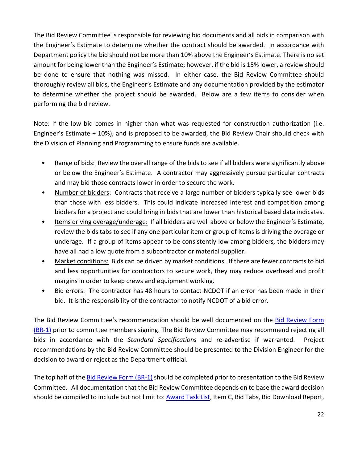The Bid Review Committee is responsible for reviewing bid documents and all bids in comparison with the Engineer's Estimate to determine whether the contract should be awarded. In accordance with Department policy the bid should not be more than 10% above the Engineer's Estimate. There is no set amount for being lower than the Engineer's Estimate; however, if the bid is 15% lower, a review should be done to ensure that nothing was missed. In either case, the Bid Review Committee should thoroughly review all bids, the Engineer's Estimate and any documentation provided by the estimator to determine whether the project should be awarded. Below are a few items to consider when performing the bid review.

Note: If the low bid comes in higher than what was requested for construction authorization (i.e. Engineer's Estimate + 10%), and is proposed to be awarded, the Bid Review Chair should check with the Division of Planning and Programming to ensure funds are available.

- Range of bids: Review the overall range of the bids to see if all bidders were significantly above or below the Engineer's Estimate. A contractor may aggressively pursue particular contracts and may bid those contracts lower in order to secure the work.
- Number of bidders: Contracts that receive a large number of bidders typically see lower bids than those with less bidders. This could indicate increased interest and competition among bidders for a project and could bring in bids that are lower than historical based data indicates.
- Items driving overage/underage: If all bidders are well above or below the Engineer's Estimate, review the bids tabs to see if any one particular item or group of items is driving the overage or underage. If a group of items appear to be consistently low among bidders, the bidders may have all had a low quote from a subcontractor or material supplier.
- Market conditions: Bids can be driven by market conditions. If there are fewer contracts to bid and less opportunities for contractors to secure work, they may reduce overhead and profit margins in order to keep crews and equipment working.
- Bid errors: The contractor has 48 hours to contact NCDOT if an error has been made in their bid. It is the responsibility of the contractor to notify NCDOT of a bid error.

The Bid Review Committee's recommendation should be well documented on the [Bid Review Form](https://ncconnect.sharepoint.com/:w:/r/sites/DOHPrelimEng/Shared%20Documents/Division%20Let%20Guidance%20and%20IDIQ%20Guidance/Division%20Let%20Guidance/Division%20Let%20Memos%20and%20Forms/BR-1%202021.doc?d=w8c5b78c1641e4bac9b5bc87872ad6862&csf=1&web=1&e=h3xJdf) [\(BR-1\)](https://ncconnect.sharepoint.com/:w:/r/sites/DOHPrelimEng/Shared%20Documents/Division%20Let%20Guidance%20and%20IDIQ%20Guidance/Division%20Let%20Guidance/Division%20Let%20Memos%20and%20Forms/BR-1%202021.doc?d=w8c5b78c1641e4bac9b5bc87872ad6862&csf=1&web=1&e=h3xJdf) prior to committee members signing. The Bid Review Committee may recommend rejecting all bids in accordance with the *Standard Specifications* and re-advertise if warranted. Project recommendations by the Bid Review Committee should be presented to the Division Engineer for the decision to award or reject as the Department official.

The top half of th[e Bid Review Form](https://ncconnect.sharepoint.com/:w:/r/sites/DOHPrelimEng/Shared%20Documents/Division%20Let%20Guidance%20and%20IDIQ%20Guidance/Division%20Let%20Guidance/Division%20Let%20Memos%20and%20Forms/BR-1%202021.doc?d=w8c5b78c1641e4bac9b5bc87872ad6862&csf=1&web=1&e=h3xJdf) (BR-1) should be completed prior to presentation to the Bid Review Committee. All documentation that the Bid Review Committee depends on to base the award decision should be compiled to include but not limit to: **Award Task List**, Item C, Bid Tabs, Bid Download Report,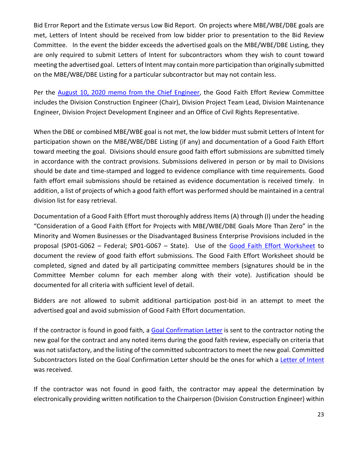Bid Error Report and the Estimate versus Low Bid Report. On projects where MBE/WBE/DBE goals are met, Letters of Intent should be received from low bidder prior to presentation to the Bid Review Committee. In the event the bidder exceeds the advertised goals on the MBE/WBE/DBE Listing, they are only required to submit Letters of Intent for subcontractors whom they wish to count toward meeting the advertised goal. Letters of Intent may contain more participation than originally submitted on the MBE/WBE/DBE Listing for a particular subcontractor but may not contain less.

Per the [August 10, 2020 memo from the Chief Engineer,](https://ncconnect.sharepoint.com/:b:/r/sites/DOHPrelimEng/Shared%20Documents/Division%20Let%20Guidance%20and%20IDIQ%20Guidance/Division%20Let%20Guidance/Division%20Let%20Memos%20and%20Forms/08-10-2020%20Memo%20to%20DEs_Contract%20Goal%20Compliance%20Committees%20-%20Division%20Lettings.pdf?csf=1&web=1&e=Bns5dp) the Good Faith Effort Review Committee includes the Division Construction Engineer (Chair), Division Project Team Lead, Division Maintenance Engineer, Division Project Development Engineer and an Office of Civil Rights Representative.

When the DBE or combined MBE/WBE goal is not met, the low bidder must submit Letters of Intent for participation shown on the MBE/WBE/DBE Listing (if any) and documentation of a Good Faith Effort toward meeting the goal. Divisions should ensure good faith effort submissions are submitted timely in accordance with the contract provisions. Submissions delivered in person or by mail to Divisions should be date and time-stamped and logged to evidence compliance with time requirements. Good faith effort email submissions should be retained as evidence documentation is received timely. In addition, a list of projects of which a good faith effort was performed should be maintained in a central division list for easy retrieval.

Documentation of a Good Faith Effort must thoroughly address Items (A) through (I) under the heading "Consideration of a Good Faith Effort for Projects with MBE/WBE/DBE Goals More Than Zero" in the Minority and Women Businesses or the Disadvantaged Business Enterprise Provisions included in the proposal (SP01-G062 – Federal; SP01-G067 – State). Use of the [Good Faith Effort Worksheet](https://ncconnect.sharepoint.com/:w:/r/sites/DOHPrelimEng/Shared%20Documents/Division%20Let%20Guidance%20and%20IDIQ%20Guidance/Division%20Let%20Guidance/Division%20Let%20Memos%20and%20Forms/Good%20Faith%20Effort%20Worksheet%20Rev%202021.doc?d=wfc312c747013434c8ee5c6458292c42f&csf=1&web=1&e=1yrsYX) to document the review of good faith effort submissions. The Good Faith Effort Worksheet should be completed, signed and dated by all participating committee members (signatures should be in the Committee Member column for each member along with their vote). Justification should be documented for all criteria with sufficient level of detail.

Bidders are not allowed to submit additional participation post-bid in an attempt to meet the advertised goal and avoid submission of Good Faith Effort documentation.

If the contractor is found in good faith, a [Goal Confirmation Letter](https://ncconnect.sharepoint.com/:w:/r/sites/DOHPrelimEng/Shared%20Documents/Division%20Let%20Guidance%20and%20IDIQ%20Guidance/Division%20Let%20Guidance/Division%20Let%20Memos%20and%20Forms/Goal%20Confirmation%20Letter%20(central).docx?d=we2e8901c24514cb89c277a3b63dc3dc3&csf=1&web=1&e=NauAl7) is sent to the contractor noting the new goal for the contract and any noted items during the good faith review, especially on criteria that was not satisfactory, and the listing of the committed subcontractors to meet the new goal. Committed Subcontractors listed on the Goal Confirmation Letter should be the ones for which a [Letter of Intent](https://ncconnect.sharepoint.com/:w:/r/sites/DOHPrelimEng/Shared%20Documents/Division%20Let%20Guidance%20and%20IDIQ%20Guidance/Division%20Let%20Guidance/Division%20Let%20Memos%20and%20Forms/Letter%20of%20Intent%20to%20Perform%20as%20Subcontractor.doc?d=w805be01c15e745f7994bc27bd19c2c0e&csf=1&web=1&e=D92eRj) was received.

If the contractor was not found in good faith, the contractor may appeal the determination by electronically providing written notification to the Chairperson (Division Construction Engineer) within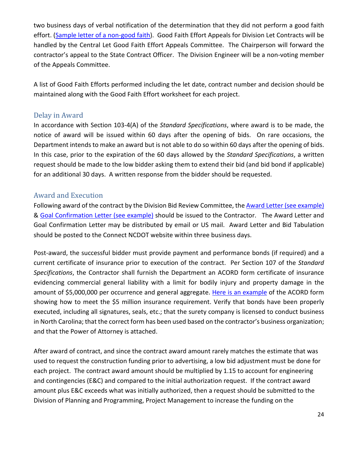two business days of verbal notification of the determination that they did not perform a good faith effort. [\(Sample letter of a non-good faith\)](https://ncconnect.sharepoint.com/:w:/r/sites/DOHPrelimEng/Shared%20Documents/Division%20Let%20Guidance%20and%20IDIQ%20Guidance/Division%20Let%20Guidance/Division%20Let%20Memos%20and%20Forms/Non%20GoodFaith%20Letter_template.doc?d=w74166f2967374d72a3f33b3e8846dcd8&csf=1&web=1&e=ZTRnpl). Good Faith Effort Appeals for Division Let Contracts will be handled by the Central Let Good Faith Effort Appeals Committee. The Chairperson will forward the contractor's appeal to the State Contract Officer. The Division Engineer will be a non-voting member of the Appeals Committee.

A list of Good Faith Efforts performed including the let date, contract number and decision should be maintained along with the Good Faith Effort worksheet for each project.

### <span id="page-24-0"></span>Delay in Award

In accordance with Section 103-4(A) of the *Standard Specifications*, where award is to be made, the notice of award will be issued within 60 days after the opening of bids. On rare occasions, the Department intends to make an award but is not able to do so within 60 days after the opening of bids. In this case, prior to the expiration of the 60 days allowed by the *Standard Specifications*, a written request should be made to the low bidder asking them to extend their bid (and bid bond if applicable) for an additional 30 days. A written response from the bidder should be requested.

## <span id="page-24-1"></span>Award and Execution

Following award of the contract by the Division Bid Review Committee, the Award Letter [\(see example\)](https://ncconnect.sharepoint.com/:b:/r/sites/DOHPrelimEng/Shared%20Documents/Division%20Let%20Guidance%20and%20IDIQ%20Guidance/Division%20Let%20Guidance/Division%20Let%20Memos%20and%20Forms/Award%20Letter.pdf?csf=1&web=1&e=8bkiYC) & [Goal Confirmation Letter](https://ncconnect.sharepoint.com/:w:/r/sites/DOHPrelimEng/Shared%20Documents/Division%20Let%20Guidance%20and%20IDIQ%20Guidance/Division%20Let%20Guidance/Division%20Let%20Memos%20and%20Forms/Goal%20Confirmation%20Letter%20(central).docx?d=we2e8901c24514cb89c277a3b63dc3dc3&csf=1&web=1&e=fUi1C2) (see example) should be issued to the Contractor. The Award Letter and Goal Confirmation Letter may be distributed by email or US mail. Award Letter and Bid Tabulation should be posted to the Connect NCDOT website within three business days.

Post-award, the successful bidder must provide payment and performance bonds (if required) and a current certificate of insurance prior to execution of the contract. Per Section 107 of the *Standard Specifications*, the Contractor shall furnish the Department an ACORD form certificate of insurance evidencing commercial general liability with a limit for bodily injury and property damage in the amount of \$5,000,000 per occurrence and general aggregate. [Here is an](https://ncconnect.sharepoint.com/:b:/r/sites/DOHPrelimEng/Shared%20Documents/Division%20Let%20Guidance%20and%20IDIQ%20Guidance/Division%20Let%20Guidance/Division%20Let%20Memos%20and%20Forms/Certificate%20of%20Insurance%20Evaluation.pdf?csf=1&web=1&e=OodFTQ) example of the ACORD form showing how to meet the \$5 million insurance requirement. Verify that bonds have been properly executed, including all signatures, seals, etc.; that the surety company is licensed to conduct business in North Carolina; that the correct form has been used based on the contractor's business organization; and that the Power of Attorney is attached.

After award of contract, and since the contract award amount rarely matches the estimate that was used to request the construction funding prior to advertising, a low bid adjustment must be done for each project. The contract award amount should be multiplied by 1.15 to account for engineering and contingencies (E&C) and compared to the initial authorization request. If the contract award amount plus E&C exceeds what was initially authorized, then a request should be submitted to the Division of Planning and Programming, Project Management to increase the funding on the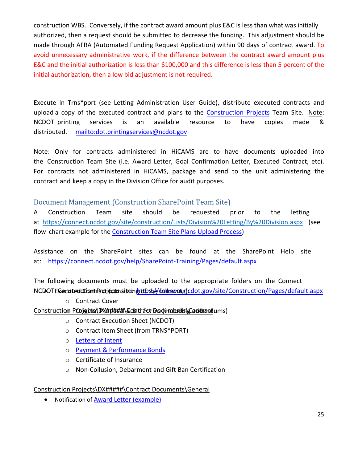construction WBS. Conversely, if the contract award amount plus E&C is less than what was initially authorized, then a request should be submitted to decrease the funding. This adjustment should be made through AFRA (Automated Funding Request Application) within 90 days of contract award. To avoid unnecessary administrative work, if the difference between the contract award amount plus E&C and the initial authorization is less than \$100,000 and this difference is less than 5 percent of the initial authorization, then a low bid adjustment is not required.

[Execute in Trns\\*port](mailto:dot.printingservices@ncdot.gov) (see Letting Administration User Guide), distribute executed contracts and upload a copy of the executed contract and plans to the [Construction Projects](https://connect.ncdot.gov/site/construction/Pages/default.aspx) Team Site. Note: NCDOT printing services is an available resource to have copies made & distributed. mailto:dot.printingservices@ncdot.gov

<span id="page-25-0"></span>Note: Only for contracts administered in HiCAMS are to have documents uploaded into the Construction Team Site (i.e. Award Letter, Goal Confirmation Letter, Executed Contract, etc). For contracts not administered in HiCAMS, package and send to the unit administering the contract and keep a copy in the Division Office for audit purposes.

Document Management (Construction SharePoint Team Site)

A Construction Team site should be requested prior to the letting at https://connect.ncdot.gov/site/construction/Lists/Division%20Letting/By%20Division.aspx (see flow chart example for the [Construction Team Site Plans Upload Process\)](https://ncconnect.sharepoint.com/:b:/r/sites/DOHPrelimEng/Shared%20Documents/Division%20Let%20Guidance%20Memos/Plans%20Upload%20to%20Construction%20Team%20Site.pdf?csf=1&web=1&e=U9LsO8)

Assistance on the SharePoint sites can be found at the SharePoint Help site at: https://connect.ncdo[t.gov/help/SharePoint-Training/Pages/default.aspx](https://connect.ncdot.gov/site/Construction/Pages/default.aspx)

The following documents must be uploaded to the appropriate folders on the Connect NCDOTE**Consted Ciont Paci (consisting tipth//following)**cdot.gov/site/Construction/Pages/default.aspx

o Contract Cover

# <u>Construction P**Onjenta\DX#####\&**GBi**t/ForBoqumentshContract**ums)</u>

- o Contract Execution Sheet (NCDOT)
- o Contract Item Sheet (from TRNS\*PORT)
- o [Letters of Intent](https://ncconnect.sharepoint.com/:w:/r/sites/DOHPrelimEng/Shared%20Documents/Division%20Let%20Guidance%20and%20IDIQ%20Guidance/Division%20Let%20Guidance/Division%20Let%20Memos%20and%20Forms/Letter%20of%20Intent%20to%20Perform%20as%20Subcontractor.doc?d=w805be01c15e745f7994bc27bd19c2c0e&csf=1&web=1&e=n8EzGU)
- o [Payment & Performance Bonds](https://connect.ncdot.gov/letting/Pages/Central-Letting-Forms.aspx)
- o Certificate of Insurance
- o Non-Collusion, Debarment and Gift Ban Certification

#### Construction Projects\DX#####\Contract Documents\General

• Notification o[f Award Letter](https://ncconnect.sharepoint.com/:b:/r/sites/DOHPrelimEng/Shared%20Documents/Division%20Let%20Guidance%20and%20IDIQ%20Guidance/Division%20Let%20Guidance/Division%20Let%20Memos%20and%20Forms/Award%20Letter.pdf?csf=1&web=1&e=eWkca0) (example)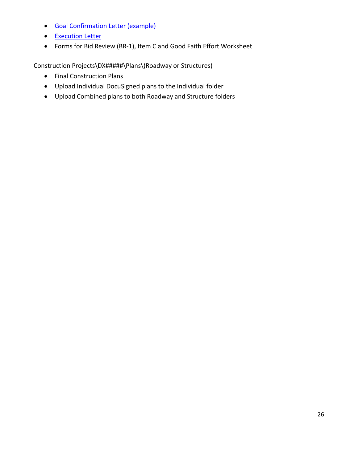- [Goal Confirmation Letter](https://ncconnect.sharepoint.com/:w:/r/sites/DOHPrelimEng/Shared%20Documents/Division%20Let%20Guidance%20and%20IDIQ%20Guidance/Division%20Let%20Guidance/Division%20Let%20Memos%20and%20Forms/Goal%20Confirmation%20Letter%20(central).docx?d=we2e8901c24514cb89c277a3b63dc3dc3&csf=1&web=1&e=i6g7ih) (example)
- [Execution Letter](https://ncconnect.sharepoint.com/:w:/r/sites/DOHPrelimEng/Shared%20Documents/Division%20Let%20Guidance%20and%20IDIQ%20Guidance/Division%20Let%20Guidance/Division%20Let%20Memos%20and%20Forms/Execution%20Letter_template.docx?d=w4f499d7484d540368ccef25326015535&csf=1&web=1&e=jehC45)
- Forms for Bid Review (BR-1), Item C and Good Faith Effort Worksheet

Construction Projects\DX#####\Plans\(Roadway or Structures)

- Final Construction Plans
- Upload Individual DocuSigned plans to the Individual folder
- Upload Combined plans to both Roadway and Structure folders